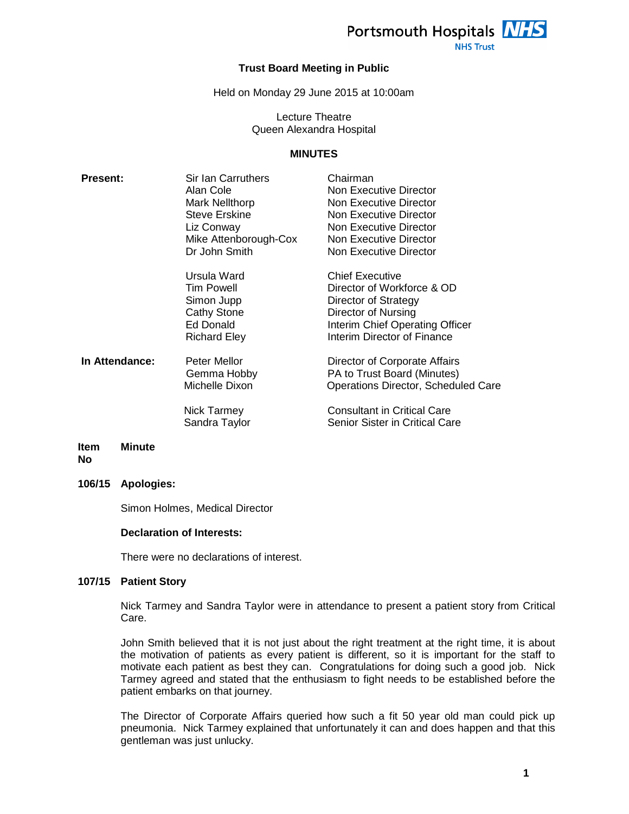

# **NHS Trust**

# **Trust Board Meeting in Public**

Held on Monday 29 June 2015 at 10:00am

Lecture Theatre Queen Alexandra Hospital

#### **MINUTES**

| <b>Present:</b> | Sir Ian Carruthers<br>Alan Cole<br>Mark Nellthorp<br><b>Steve Erskine</b><br>Liz Conway<br>Mike Attenborough-Cox<br>Dr John Smith | Chairman<br>Non Executive Director<br>Non Executive Director<br>Non Executive Director<br>Non Executive Director<br>Non Executive Director<br>Non Executive Director  |
|-----------------|-----------------------------------------------------------------------------------------------------------------------------------|-----------------------------------------------------------------------------------------------------------------------------------------------------------------------|
|                 | Ursula Ward<br><b>Tim Powell</b><br>Simon Jupp<br><b>Cathy Stone</b><br>Ed Donald<br><b>Richard Eley</b>                          | <b>Chief Executive</b><br>Director of Workforce & OD<br>Director of Strategy<br>Director of Nursing<br>Interim Chief Operating Officer<br>Interim Director of Finance |
| In Attendance:  | Peter Mellor<br>Gemma Hobby<br>Michelle Dixon<br>Nick Tarmey                                                                      | Director of Corporate Affairs<br>PA to Trust Board (Minutes)<br>Operations Director, Scheduled Care<br><b>Consultant in Critical Care</b>                             |
|                 | Sandra Taylor                                                                                                                     | Senior Sister in Critical Care                                                                                                                                        |

#### **Item No Minute**

# **106/15 Apologies:**

Simon Holmes, Medical Director

#### **Declaration of Interests:**

There were no declarations of interest.

#### **107/15 Patient Story**

Nick Tarmey and Sandra Taylor were in attendance to present a patient story from Critical Care.

John Smith believed that it is not just about the right treatment at the right time, it is about the motivation of patients as every patient is different, so it is important for the staff to motivate each patient as best they can. Congratulations for doing such a good job. Nick Tarmey agreed and stated that the enthusiasm to fight needs to be established before the patient embarks on that journey.

The Director of Corporate Affairs queried how such a fit 50 year old man could pick up pneumonia. Nick Tarmey explained that unfortunately it can and does happen and that this gentleman was just unlucky.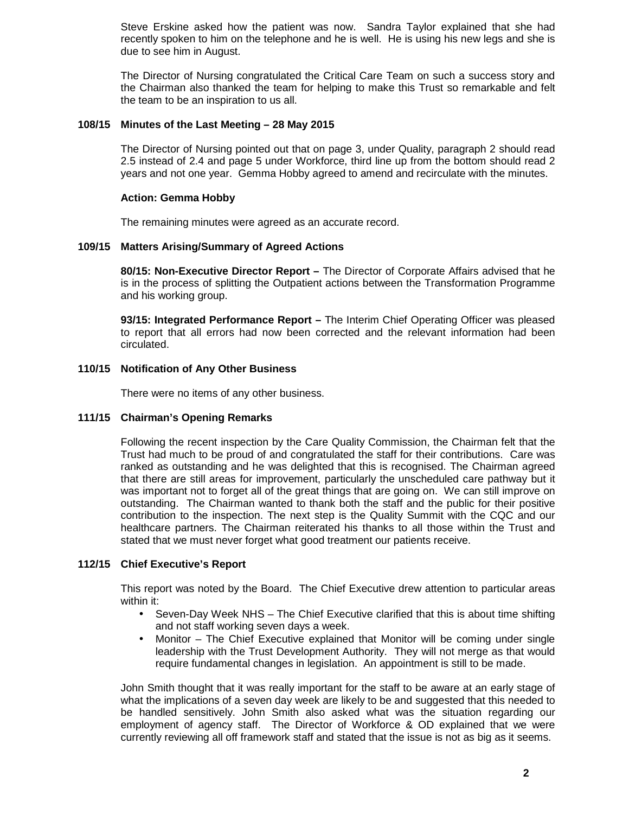Steve Erskine asked how the patient was now. Sandra Taylor explained that she had recently spoken to him on the telephone and he is well. He is using his new legs and she is due to see him in August.

The Director of Nursing congratulated the Critical Care Team on such a success story and the Chairman also thanked the team for helping to make this Trust so remarkable and felt the team to be an inspiration to us all.

#### **108/15 Minutes of the Last Meeting – 28 May 2015**

The Director of Nursing pointed out that on page 3, under Quality, paragraph 2 should read 2.5 instead of 2.4 and page 5 under Workforce, third line up from the bottom should read 2 years and not one year. Gemma Hobby agreed to amend and recirculate with the minutes.

# **Action: Gemma Hobby**

The remaining minutes were agreed as an accurate record.

# **109/15 Matters Arising/Summary of Agreed Actions**

**80/15: Non-Executive Director Report –** The Director of Corporate Affairs advised that he is in the process of splitting the Outpatient actions between the Transformation Programme and his working group.

**93/15: Integrated Performance Report –** The Interim Chief Operating Officer was pleased to report that all errors had now been corrected and the relevant information had been circulated.

# **110/15 Notification of Any Other Business**

There were no items of any other business.

#### **111/15 Chairman's Opening Remarks**

Following the recent inspection by the Care Quality Commission, the Chairman felt that the Trust had much to be proud of and congratulated the staff for their contributions. Care was ranked as outstanding and he was delighted that this is recognised. The Chairman agreed that there are still areas for improvement, particularly the unscheduled care pathway but it was important not to forget all of the great things that are going on. We can still improve on outstanding. The Chairman wanted to thank both the staff and the public for their positive contribution to the inspection. The next step is the Quality Summit with the CQC and our healthcare partners. The Chairman reiterated his thanks to all those within the Trust and stated that we must never forget what good treatment our patients receive.

#### **112/15 Chief Executive's Report**

This report was noted by the Board. The Chief Executive drew attention to particular areas within it:

- Seven-Day Week NHS The Chief Executive clarified that this is about time shifting and not staff working seven days a week.
- Monitor The Chief Executive explained that Monitor will be coming under single leadership with the Trust Development Authority. They will not merge as that would require fundamental changes in legislation. An appointment is still to be made.

John Smith thought that it was really important for the staff to be aware at an early stage of what the implications of a seven day week are likely to be and suggested that this needed to be handled sensitively. John Smith also asked what was the situation regarding our employment of agency staff. The Director of Workforce & OD explained that we were currently reviewing all off framework staff and stated that the issue is not as big as it seems.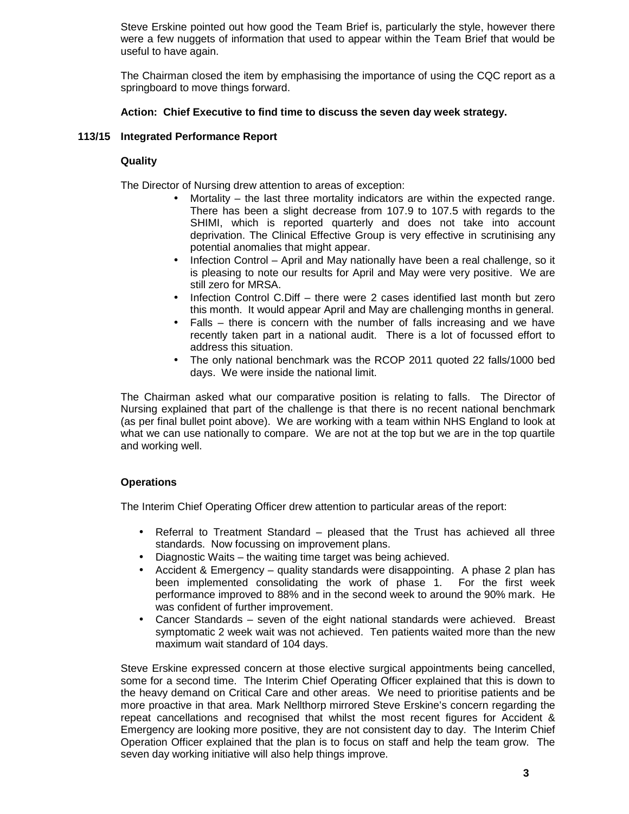Steve Erskine pointed out how good the Team Brief is, particularly the style, however there were a few nuggets of information that used to appear within the Team Brief that would be useful to have again.

The Chairman closed the item by emphasising the importance of using the CQC report as a springboard to move things forward.

# **Action: Chief Executive to find time to discuss the seven day week strategy.**

# **113/15 Integrated Performance Report**

# **Quality**

The Director of Nursing drew attention to areas of exception:

- Mortality the last three mortality indicators are within the expected range. There has been a slight decrease from 107.9 to 107.5 with regards to the SHIMI, which is reported quarterly and does not take into account deprivation. The Clinical Effective Group is very effective in scrutinising any potential anomalies that might appear.
- Infection Control April and May nationally have been a real challenge, so it is pleasing to note our results for April and May were very positive. We are still zero for MRSA.
- Infection Control C.Diff there were 2 cases identified last month but zero this month. It would appear April and May are challenging months in general.
- Falls there is concern with the number of falls increasing and we have recently taken part in a national audit. There is a lot of focussed effort to address this situation.
- The only national benchmark was the RCOP 2011 quoted 22 falls/1000 bed days. We were inside the national limit.

The Chairman asked what our comparative position is relating to falls. The Director of Nursing explained that part of the challenge is that there is no recent national benchmark (as per final bullet point above). We are working with a team within NHS England to look at what we can use nationally to compare. We are not at the top but we are in the top quartile and working well.

# **Operations**

The Interim Chief Operating Officer drew attention to particular areas of the report:

- Referral to Treatment Standard pleased that the Trust has achieved all three standards. Now focussing on improvement plans.
- Diagnostic Waits the waiting time target was being achieved.
- Accident & Emergency quality standards were disappointing. A phase 2 plan has been implemented consolidating the work of phase 1. For the first week performance improved to 88% and in the second week to around the 90% mark. He was confident of further improvement.
- Cancer Standards seven of the eight national standards were achieved. Breast symptomatic 2 week wait was not achieved. Ten patients waited more than the new maximum wait standard of 104 days.

Steve Erskine expressed concern at those elective surgical appointments being cancelled, some for a second time. The Interim Chief Operating Officer explained that this is down to the heavy demand on Critical Care and other areas. We need to prioritise patients and be more proactive in that area. Mark Nellthorp mirrored Steve Erskine's concern regarding the repeat cancellations and recognised that whilst the most recent figures for Accident & Emergency are looking more positive, they are not consistent day to day. The Interim Chief Operation Officer explained that the plan is to focus on staff and help the team grow. The seven day working initiative will also help things improve.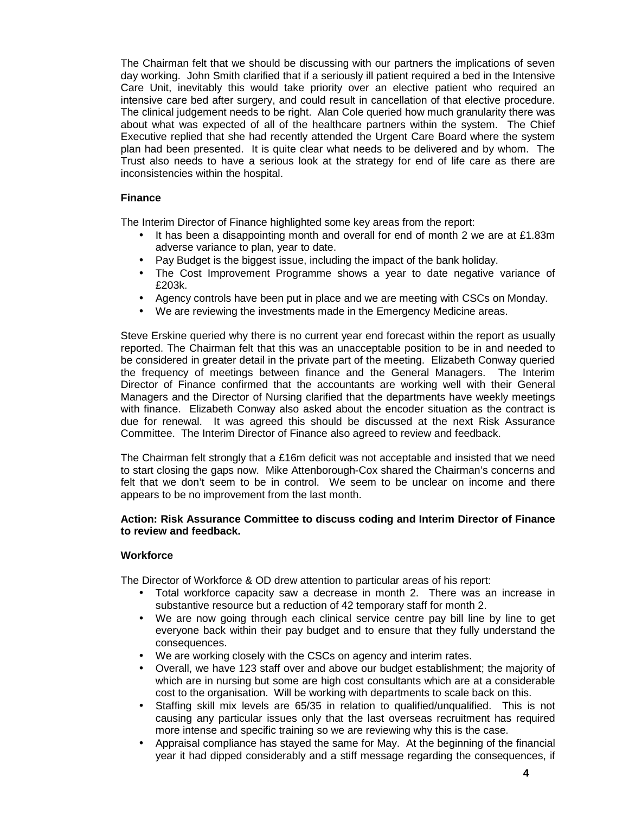The Chairman felt that we should be discussing with our partners the implications of seven day working. John Smith clarified that if a seriously ill patient required a bed in the Intensive Care Unit, inevitably this would take priority over an elective patient who required an intensive care bed after surgery, and could result in cancellation of that elective procedure. The clinical judgement needs to be right. Alan Cole queried how much granularity there was about what was expected of all of the healthcare partners within the system. The Chief Executive replied that she had recently attended the Urgent Care Board where the system plan had been presented. It is quite clear what needs to be delivered and by whom. The Trust also needs to have a serious look at the strategy for end of life care as there are inconsistencies within the hospital.

# **Finance**

The Interim Director of Finance highlighted some key areas from the report:

- It has been a disappointing month and overall for end of month 2 we are at  $£1.83m$ adverse variance to plan, year to date.
- Pay Budget is the biggest issue, including the impact of the bank holiday.
- The Cost Improvement Programme shows a year to date negative variance of £203k.
- Agency controls have been put in place and we are meeting with CSCs on Monday.
- We are reviewing the investments made in the Emergency Medicine areas.

Steve Erskine queried why there is no current year end forecast within the report as usually reported. The Chairman felt that this was an unacceptable position to be in and needed to be considered in greater detail in the private part of the meeting. Elizabeth Conway queried the frequency of meetings between finance and the General Managers. The Interim Director of Finance confirmed that the accountants are working well with their General Managers and the Director of Nursing clarified that the departments have weekly meetings with finance. Elizabeth Conway also asked about the encoder situation as the contract is due for renewal. It was agreed this should be discussed at the next Risk Assurance Committee. The Interim Director of Finance also agreed to review and feedback.

The Chairman felt strongly that a £16m deficit was not acceptable and insisted that we need to start closing the gaps now. Mike Attenborough-Cox shared the Chairman's concerns and felt that we don't seem to be in control. We seem to be unclear on income and there appears to be no improvement from the last month.

# **Action: Risk Assurance Committee to discuss coding and Interim Director of Finance to review and feedback.**

#### **Workforce**

The Director of Workforce & OD drew attention to particular areas of his report:

- Total workforce capacity saw a decrease in month 2. There was an increase in substantive resource but a reduction of 42 temporary staff for month 2.
- We are now going through each clinical service centre pay bill line by line to get everyone back within their pay budget and to ensure that they fully understand the consequences.
- We are working closely with the CSCs on agency and interim rates.
- Overall, we have 123 staff over and above our budget establishment; the majority of which are in nursing but some are high cost consultants which are at a considerable cost to the organisation. Will be working with departments to scale back on this.
- Staffing skill mix levels are 65/35 in relation to qualified/unqualified. This is not causing any particular issues only that the last overseas recruitment has required more intense and specific training so we are reviewing why this is the case.
- Appraisal compliance has stayed the same for May. At the beginning of the financial year it had dipped considerably and a stiff message regarding the consequences, if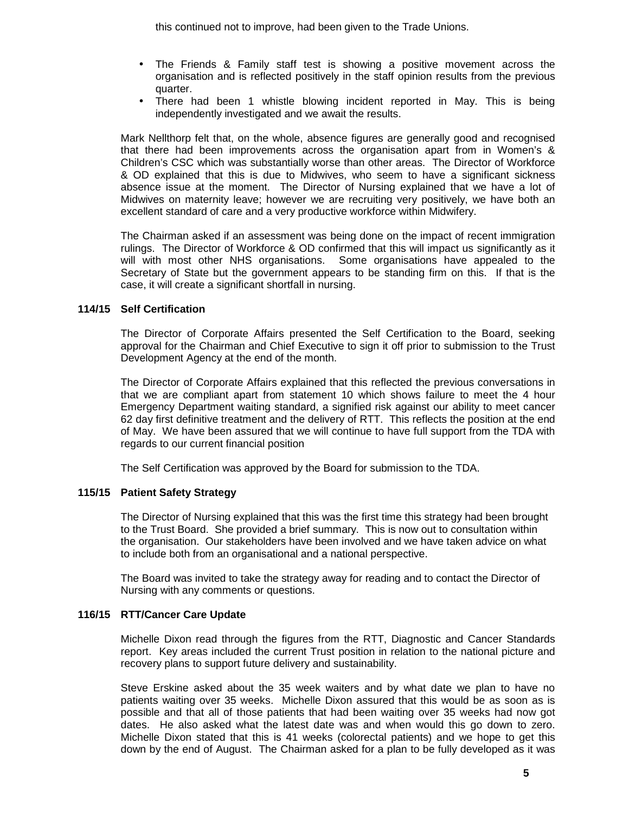- The Friends & Family staff test is showing a positive movement across the organisation and is reflected positively in the staff opinion results from the previous quarter.
- There had been 1 whistle blowing incident reported in May. This is being independently investigated and we await the results.

Mark Nellthorp felt that, on the whole, absence figures are generally good and recognised that there had been improvements across the organisation apart from in Women's & Children's CSC which was substantially worse than other areas. The Director of Workforce & OD explained that this is due to Midwives, who seem to have a significant sickness absence issue at the moment. The Director of Nursing explained that we have a lot of Midwives on maternity leave; however we are recruiting very positively, we have both an excellent standard of care and a very productive workforce within Midwifery.

The Chairman asked if an assessment was being done on the impact of recent immigration rulings. The Director of Workforce & OD confirmed that this will impact us significantly as it will with most other NHS organisations. Some organisations have appealed to the Secretary of State but the government appears to be standing firm on this. If that is the case, it will create a significant shortfall in nursing.

# **114/15 Self Certification**

The Director of Corporate Affairs presented the Self Certification to the Board, seeking approval for the Chairman and Chief Executive to sign it off prior to submission to the Trust Development Agency at the end of the month.

The Director of Corporate Affairs explained that this reflected the previous conversations in that we are compliant apart from statement 10 which shows failure to meet the 4 hour Emergency Department waiting standard, a signified risk against our ability to meet cancer 62 day first definitive treatment and the delivery of RTT. This reflects the position at the end of May. We have been assured that we will continue to have full support from the TDA with regards to our current financial position

The Self Certification was approved by the Board for submission to the TDA.

# **115/15 Patient Safety Strategy**

The Director of Nursing explained that this was the first time this strategy had been brought to the Trust Board. She provided a brief summary. This is now out to consultation within the organisation. Our stakeholders have been involved and we have taken advice on what to include both from an organisational and a national perspective.

The Board was invited to take the strategy away for reading and to contact the Director of Nursing with any comments or questions.

#### **116/15 RTT/Cancer Care Update**

Michelle Dixon read through the figures from the RTT, Diagnostic and Cancer Standards report. Key areas included the current Trust position in relation to the national picture and recovery plans to support future delivery and sustainability.

Steve Erskine asked about the 35 week waiters and by what date we plan to have no patients waiting over 35 weeks. Michelle Dixon assured that this would be as soon as is possible and that all of those patients that had been waiting over 35 weeks had now got dates. He also asked what the latest date was and when would this go down to zero. Michelle Dixon stated that this is 41 weeks (colorectal patients) and we hope to get this down by the end of August. The Chairman asked for a plan to be fully developed as it was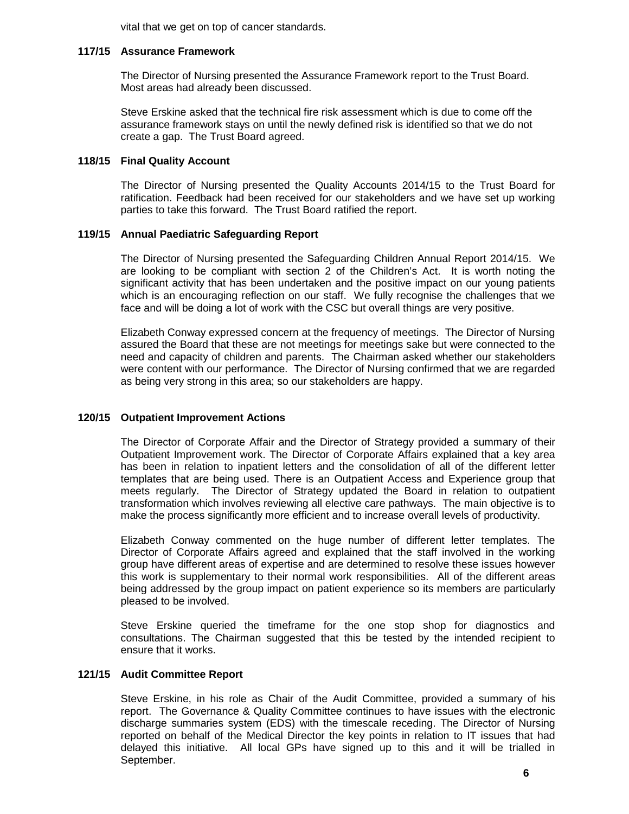vital that we get on top of cancer standards.

#### **117/15 Assurance Framework**

The Director of Nursing presented the Assurance Framework report to the Trust Board. Most areas had already been discussed.

Steve Erskine asked that the technical fire risk assessment which is due to come off the assurance framework stays on until the newly defined risk is identified so that we do not create a gap. The Trust Board agreed.

# **118/15 Final Quality Account**

The Director of Nursing presented the Quality Accounts 2014/15 to the Trust Board for ratification. Feedback had been received for our stakeholders and we have set up working parties to take this forward. The Trust Board ratified the report.

# **119/15 Annual Paediatric Safeguarding Report**

The Director of Nursing presented the Safeguarding Children Annual Report 2014/15. We are looking to be compliant with section 2 of the Children's Act. It is worth noting the significant activity that has been undertaken and the positive impact on our young patients which is an encouraging reflection on our staff. We fully recognise the challenges that we face and will be doing a lot of work with the CSC but overall things are very positive.

Elizabeth Conway expressed concern at the frequency of meetings. The Director of Nursing assured the Board that these are not meetings for meetings sake but were connected to the need and capacity of children and parents. The Chairman asked whether our stakeholders were content with our performance. The Director of Nursing confirmed that we are regarded as being very strong in this area; so our stakeholders are happy.

#### **120/15 Outpatient Improvement Actions**

The Director of Corporate Affair and the Director of Strategy provided a summary of their Outpatient Improvement work. The Director of Corporate Affairs explained that a key area has been in relation to inpatient letters and the consolidation of all of the different letter templates that are being used. There is an Outpatient Access and Experience group that meets regularly. The Director of Strategy updated the Board in relation to outpatient transformation which involves reviewing all elective care pathways. The main objective is to make the process significantly more efficient and to increase overall levels of productivity.

Elizabeth Conway commented on the huge number of different letter templates. The Director of Corporate Affairs agreed and explained that the staff involved in the working group have different areas of expertise and are determined to resolve these issues however this work is supplementary to their normal work responsibilities. All of the different areas being addressed by the group impact on patient experience so its members are particularly pleased to be involved.

Steve Erskine queried the timeframe for the one stop shop for diagnostics and consultations. The Chairman suggested that this be tested by the intended recipient to ensure that it works.

#### **121/15 Audit Committee Report**

Steve Erskine, in his role as Chair of the Audit Committee, provided a summary of his report. The Governance & Quality Committee continues to have issues with the electronic discharge summaries system (EDS) with the timescale receding. The Director of Nursing reported on behalf of the Medical Director the key points in relation to IT issues that had delayed this initiative. All local GPs have signed up to this and it will be trialled in September.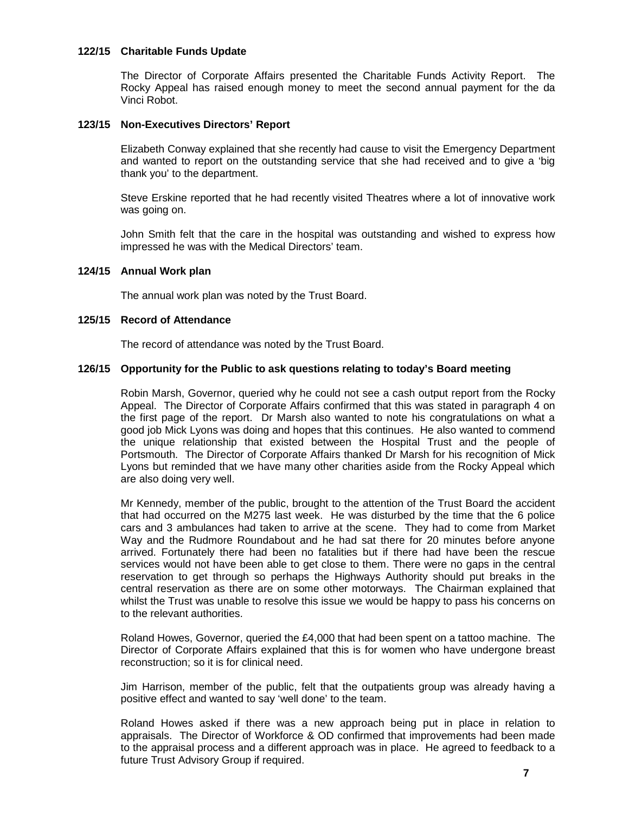#### **122/15 Charitable Funds Update**

The Director of Corporate Affairs presented the Charitable Funds Activity Report. The Rocky Appeal has raised enough money to meet the second annual payment for the da Vinci Robot.

# **123/15 Non-Executives Directors' Report**

Elizabeth Conway explained that she recently had cause to visit the Emergency Department and wanted to report on the outstanding service that she had received and to give a 'big thank you' to the department.

Steve Erskine reported that he had recently visited Theatres where a lot of innovative work was going on.

John Smith felt that the care in the hospital was outstanding and wished to express how impressed he was with the Medical Directors' team.

# **124/15 Annual Work plan**

The annual work plan was noted by the Trust Board.

# **125/15 Record of Attendance**

The record of attendance was noted by the Trust Board.

# **126/15 Opportunity for the Public to ask questions relating to today's Board meeting**

Robin Marsh, Governor, queried why he could not see a cash output report from the Rocky Appeal. The Director of Corporate Affairs confirmed that this was stated in paragraph 4 on the first page of the report. Dr Marsh also wanted to note his congratulations on what a good job Mick Lyons was doing and hopes that this continues. He also wanted to commend the unique relationship that existed between the Hospital Trust and the people of Portsmouth. The Director of Corporate Affairs thanked Dr Marsh for his recognition of Mick Lyons but reminded that we have many other charities aside from the Rocky Appeal which are also doing very well.

Mr Kennedy, member of the public, brought to the attention of the Trust Board the accident that had occurred on the M275 last week. He was disturbed by the time that the 6 police cars and 3 ambulances had taken to arrive at the scene. They had to come from Market Way and the Rudmore Roundabout and he had sat there for 20 minutes before anyone arrived. Fortunately there had been no fatalities but if there had have been the rescue services would not have been able to get close to them. There were no gaps in the central reservation to get through so perhaps the Highways Authority should put breaks in the central reservation as there are on some other motorways. The Chairman explained that whilst the Trust was unable to resolve this issue we would be happy to pass his concerns on to the relevant authorities.

Roland Howes, Governor, queried the £4,000 that had been spent on a tattoo machine. The Director of Corporate Affairs explained that this is for women who have undergone breast reconstruction; so it is for clinical need.

Jim Harrison, member of the public, felt that the outpatients group was already having a positive effect and wanted to say 'well done' to the team.

Roland Howes asked if there was a new approach being put in place in relation to appraisals. The Director of Workforce & OD confirmed that improvements had been made to the appraisal process and a different approach was in place. He agreed to feedback to a future Trust Advisory Group if required.